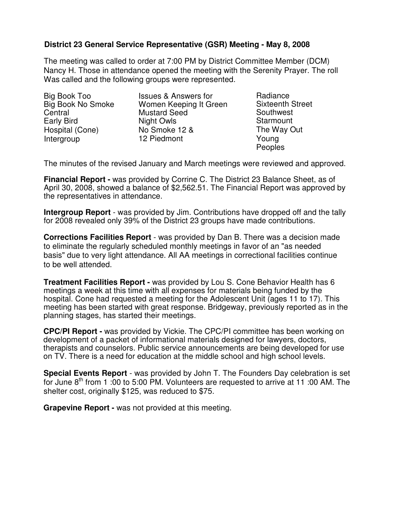## **District 23 General Service Representative (GSR) Meeting - May 8, 2008**

The meeting was called to order at 7:00 PM by District Committee Member (DCM) Nancy H. Those in attendance opened the meeting with the Serenity Prayer. The roll Was called and the following groups were represented.

Big Book Too Big Book No Smoke **Central** Early Bird Hospital (Cone) Intergroup

Issues & Answers for Women Keeping It Green Mustard Seed Night Owls No Smoke 12 & 12 Piedmont

Radiance Sixteenth Street Southwest **Starmount** The Way Out Young **Peoples** 

The minutes of the revised January and March meetings were reviewed and approved.

**Financial Report -** was provided by Corrine C. The District 23 Balance Sheet, as of April 30, 2008, showed a balance of \$2,562.51. The Financial Report was approved by the representatives in attendance.

**Intergroup Report** - was provided by Jim. Contributions have dropped off and the tally for 2008 revealed only 39% of the District 23 groups have made contributions.

**Corrections Facilities Report** - was provided by Dan B. There was a decision made to eliminate the regularly scheduled monthly meetings in favor of an "as needed basis" due to very light attendance. All AA meetings in correctional facilities continue to be well attended.

**Treatment Facilities Report -** was provided by Lou S. Cone Behavior Health has 6 meetings a week at this time with all expenses for materials being funded by the hospital. Cone had requested a meeting for the Adolescent Unit (ages 11 to 17). This meeting has been started with great response. Bridgeway, previously reported as in the planning stages, has started their meetings.

**CPC/PI Report -** was provided by Vickie. The CPC/PI committee has been working on development of a packet of informational materials designed for lawyers, doctors, therapists and counselors. Public service announcements are being developed for use on TV. There is a need for education at the middle school and high school levels.

**Special Events Report** - was provided by John T. The Founders Day celebration is set for June 8<sup>th</sup> from 1 :00 to 5:00 PM. Volunteers are requested to arrive at 11 :00 AM. The shelter cost, originally \$125, was reduced to \$75.

**Grapevine Report -** was not provided at this meeting.